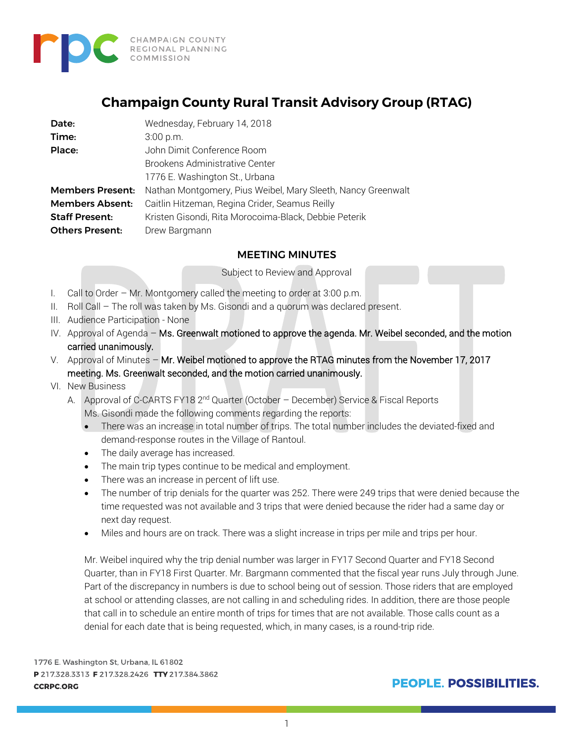

# **Champaign County Rural Transit Advisory Group (RTAG)**

| Date:                   | Wednesday, February 14, 2018                                 |
|-------------------------|--------------------------------------------------------------|
| Time:                   | 3:00 p.m.                                                    |
| Place:                  | John Dimit Conference Room                                   |
|                         | <b>Brookens Administrative Center</b>                        |
|                         | 1776 E. Washington St., Urbana                               |
| <b>Members Present:</b> | Nathan Montgomery, Pius Weibel, Mary Sleeth, Nancy Greenwalt |
| <b>Members Absent:</b>  | Caitlin Hitzeman, Regina Crider, Seamus Reilly               |
| <b>Staff Present:</b>   | Kristen Gisondi, Rita Morocoima-Black, Debbie Peterik        |
| <b>Others Present:</b>  | Drew Bargmann                                                |

#### MEETING MINUTES

Subject to Review and Approval

- I. Call to Order Mr. Montgomery called the meeting to order at 3:00 p.m.
- II. Roll Call The roll was taken by Ms. Gisondi and a quorum was declared present.
- III. Audience Participation None
- IV. Approval of Agenda Ms. Greenwalt motioned to approve the agenda. Mr. Weibel seconded, and the motion carried unanimously.
- V. Approval of Minutes Mr. Weibel motioned to approve the RTAG minutes from the November 17, 2017 meeting. Ms. Greenwalt seconded, and the motion carried unanimously.
- VI. New Business
	- A. Approval of C-CARTS FY18 2<sup>nd</sup> Quarter (October December) Service & Fiscal Reports Ms. Gisondi made the following comments regarding the reports:
		- There was an increase in total number of trips. The total number includes the deviated-fixed and demand-response routes in the Village of Rantoul.
		- The daily average has increased.
		- The main trip types continue to be medical and employment.
		- There was an increase in percent of lift use.
		- The number of trip denials for the quarter was 252. There were 249 trips that were denied because the time requested was not available and 3 trips that were denied because the rider had a same day or next day request.
		- Miles and hours are on track. There was a slight increase in trips per mile and trips per hour.

Mr. Weibel inquired why the trip denial number was larger in FY17 Second Quarter and FY18 Second Quarter, than in FY18 First Quarter. Mr. Bargmann commented that the fiscal year runs July through June. Part of the discrepancy in numbers is due to school being out of session. Those riders that are employed at school or attending classes, are not calling in and scheduling rides. In addition, there are those people that call in to schedule an entire month of trips for times that are not available. Those calls count as a denial for each date that is being requested, which, in many cases, is a round-trip ride.

1776 E. Washington St, Urbana, IL 61802 P 217.328.3313 F 217.328.2426 TTY 217.384.3862 **CCRPC.ORG**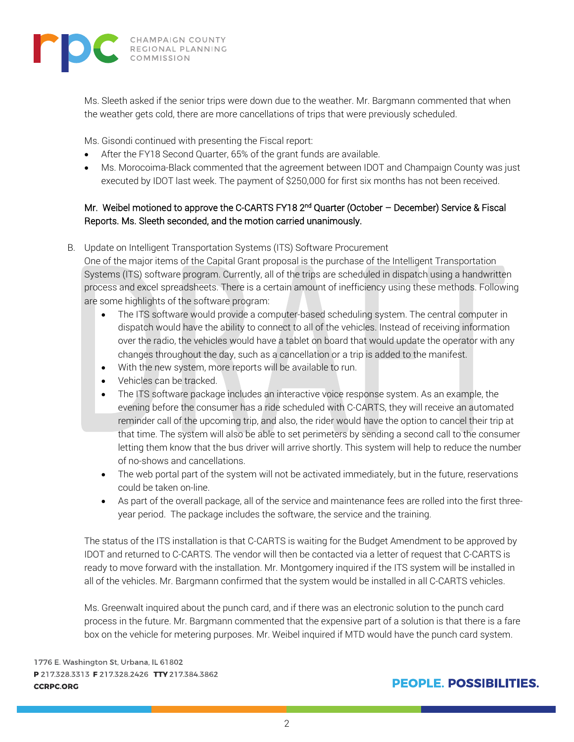

Ms. Sleeth asked if the senior trips were down due to the weather. Mr. Bargmann commented that when the weather gets cold, there are more cancellations of trips that were previously scheduled.

Ms. Gisondi continued with presenting the Fiscal report:

- After the FY18 Second Quarter, 65% of the grant funds are available.
- Ms. Morocoima-Black commented that the agreement between IDOT and Champaign County was just executed by IDOT last week. The payment of \$250,000 for first six months has not been received.

### Mr. Weibel motioned to approve the C-CARTS FY18 2<sup>nd</sup> Quarter (October – December) Service & Fiscal Reports. Ms. Sleeth seconded, and the motion carried unanimously.

B. Update on Intelligent Transportation Systems (ITS) Software Procurement

One of the major items of the Capital Grant proposal is the purchase of the Intelligent Transportation Systems (ITS) software program. Currently, all of the trips are scheduled in dispatch using a handwritten process and excel spreadsheets. There is a certain amount of inefficiency using these methods. Following are some highlights of the software program:

- The ITS software would provide a computer-based scheduling system. The central computer in dispatch would have the ability to connect to all of the vehicles. Instead of receiving information over the radio, the vehicles would have a tablet on board that would update the operator with any changes throughout the day, such as a cancellation or a trip is added to the manifest.
- With the new system, more reports will be available to run.
- Vehicles can be tracked.
- The ITS software package includes an interactive voice response system. As an example, the evening before the consumer has a ride scheduled with C-CARTS, they will receive an automated reminder call of the upcoming trip, and also, the rider would have the option to cancel their trip at that time. The system will also be able to set perimeters by sending a second call to the consumer letting them know that the bus driver will arrive shortly. This system will help to reduce the number of no-shows and cancellations.
- The web portal part of the system will not be activated immediately, but in the future, reservations could be taken on-line.
- As part of the overall package, all of the service and maintenance fees are rolled into the first threeyear period. The package includes the software, the service and the training.

The status of the ITS installation is that C-CARTS is waiting for the Budget Amendment to be approved by IDOT and returned to C-CARTS. The vendor will then be contacted via a letter of request that C-CARTS is ready to move forward with the installation. Mr. Montgomery inquired if the ITS system will be installed in all of the vehicles. Mr. Bargmann confirmed that the system would be installed in all C-CARTS vehicles.

Ms. Greenwalt inquired about the punch card, and if there was an electronic solution to the punch card process in the future. Mr. Bargmann commented that the expensive part of a solution is that there is a fare box on the vehicle for metering purposes. Mr. Weibel inquired if MTD would have the punch card system.

1776 E. Washington St, Urbana, IL 61802 P 217.328.3313 F 217.328.2426 TTY 217.384.3862 **CCRPC.ORG**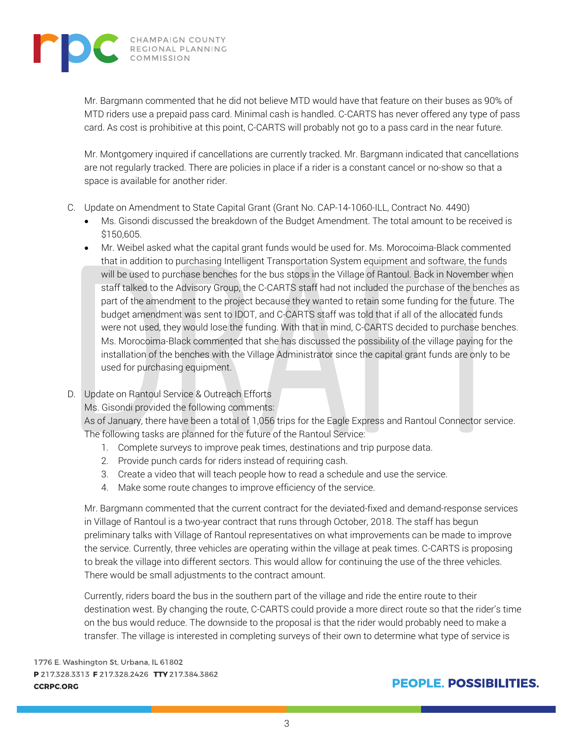

Mr. Bargmann commented that he did not believe MTD would have that feature on their buses as 90% of MTD riders use a prepaid pass card. Minimal cash is handled. C-CARTS has never offered any type of pass card. As cost is prohibitive at this point, C-CARTS will probably not go to a pass card in the near future.

Mr. Montgomery inquired if cancellations are currently tracked. Mr. Bargmann indicated that cancellations are not regularly tracked. There are policies in place if a rider is a constant cancel or no-show so that a space is available for another rider.

- C. Update on Amendment to State Capital Grant (Grant No. CAP-14-1060-ILL, Contract No. 4490)
	- Ms. Gisondi discussed the breakdown of the Budget Amendment. The total amount to be received is \$150,605.
	- Mr. Weibel asked what the capital grant funds would be used for. Ms. Morocoima-Black commented that in addition to purchasing Intelligent Transportation System equipment and software, the funds will be used to purchase benches for the bus stops in the Village of Rantoul. Back in November when staff talked to the Advisory Group, the C-CARTS staff had not included the purchase of the benches as part of the amendment to the project because they wanted to retain some funding for the future. The budget amendment was sent to IDOT, and C-CARTS staff was told that if all of the allocated funds were not used, they would lose the funding. With that in mind, C-CARTS decided to purchase benches. Ms. Morocoima-Black commented that she has discussed the possibility of the village paying for the installation of the benches with the Village Administrator since the capital grant funds are only to be used for purchasing equipment.
- D. Update on Rantoul Service & Outreach Efforts

Ms. Gisondi provided the following comments:

As of January, there have been a total of 1,056 trips for the Eagle Express and Rantoul Connector service. The following tasks are planned for the future of the Rantoul Service:

- 1. Complete surveys to improve peak times, destinations and trip purpose data.
- 2. Provide punch cards for riders instead of requiring cash.
- 3. Create a video that will teach people how to read a schedule and use the service.
- 4. Make some route changes to improve efficiency of the service.

Mr. Bargmann commented that the current contract for the deviated-fixed and demand-response services in Village of Rantoul is a two-year contract that runs through October, 2018. The staff has begun preliminary talks with Village of Rantoul representatives on what improvements can be made to improve the service. Currently, three vehicles are operating within the village at peak times. C-CARTS is proposing to break the village into different sectors. This would allow for continuing the use of the three vehicles. There would be small adjustments to the contract amount.

Currently, riders board the bus in the southern part of the village and ride the entire route to their destination west. By changing the route, C-CARTS could provide a more direct route so that the rider's time on the bus would reduce. The downside to the proposal is that the rider would probably need to make a transfer. The village is interested in completing surveys of their own to determine what type of service is

1776 E. Washington St, Urbana, IL 61802 P 217.328.3313 F 217.328.2426 TTY 217.384.3862 **CCRPC.ORG**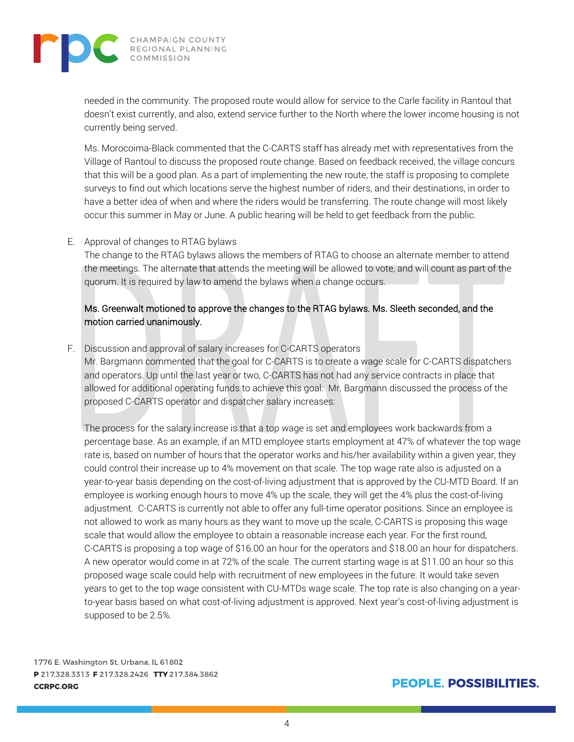

needed in the community. The proposed route would allow for service to the Carle facility in Rantoul that doesn't exist currently, and also, extend service further to the North where the lower income housing is not currently being served.

Ms. Morocoima-Black commented that the C-CARTS staff has already met with representatives from the Village of Rantoul to discuss the proposed route change. Based on feedback received, the village concurs that this will be a good plan. As a part of implementing the new route, the staff is proposing to complete surveys to find out which locations serve the highest number of riders, and their destinations, in order to have a better idea of when and where the riders would be transferring. The route change will most likely occur this summer in May or June. A public hearing will be held to get feedback from the public.

#### E. Approval of changes to RTAG bylaws

The change to the RTAG bylaws allows the members of RTAG to choose an alternate member to attend the meetings. The alternate that attends the meeting will be allowed to vote, and will count as part of the quorum. It is required by law to amend the bylaws when a change occurs.

#### Ms. Greenwalt motioned to approve the changes to the RTAG bylaws. Ms. Sleeth seconded, and the motion carried unanimously.

F. Discussion and approval of salary increases for C-CARTS operators

Mr. Bargmann commented that the goal for C-CARTS is to create a wage scale for C-CARTS dispatchers and operators. Up until the last year or two, C-CARTS has not had any service contracts in place that allowed for additional operating funds to achieve this goal. Mr. Bargmann discussed the process of the proposed C-CARTS operator and dispatcher salary increases:

The process for the salary increase is that a top wage is set and employees work backwards from a percentage base. As an example, if an MTD employee starts employment at 47% of whatever the top wage rate is, based on number of hours that the operator works and his/her availability within a given year, they could control their increase up to 4% movement on that scale. The top wage rate also is adjusted on a year-to-year basis depending on the cost-of-living adjustment that is approved by the CU-MTD Board. If an employee is working enough hours to move 4% up the scale, they will get the 4% plus the cost-of-living adjustment. C-CARTS is currently not able to offer any full-time operator positions. Since an employee is not allowed to work as many hours as they want to move up the scale, C-CARTS is proposing this wage scale that would allow the employee to obtain a reasonable increase each year. For the first round, C-CARTS is proposing a top wage of \$16.00 an hour for the operators and \$18.00 an hour for dispatchers. A new operator would come in at 72% of the scale. The current starting wage is at \$11.00 an hour so this proposed wage scale could help with recruitment of new employees in the future. It would take seven years to get to the top wage consistent with CU-MTDs wage scale. The top rate is also changing on a yearto-year basis based on what cost-of-living adjustment is approved. Next year's cost-of-living adjustment is supposed to be 2.5%.

1776 E. Washington St, Urbana, IL 61802 P 217.328.3313 F 217.328.2426 TTY 217.384.3862 **CCRPC.ORG**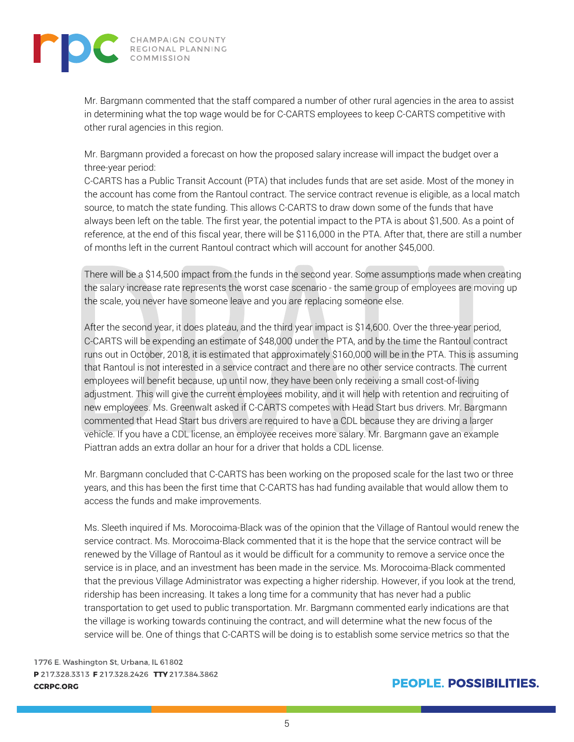

Mr. Bargmann commented that the staff compared a number of other rural agencies in the area to assist in determining what the top wage would be for C-CARTS employees to keep C-CARTS competitive with other rural agencies in this region.

Mr. Bargmann provided a forecast on how the proposed salary increase will impact the budget over a three-year period:

C-CARTS has a Public Transit Account (PTA) that includes funds that are set aside. Most of the money in the account has come from the Rantoul contract. The service contract revenue is eligible, as a local match source, to match the state funding. This allows C-CARTS to draw down some of the funds that have always been left on the table. The first year, the potential impact to the PTA is about \$1,500. As a point of reference, at the end of this fiscal year, there will be \$116,000 in the PTA. After that, there are still a number of months left in the current Rantoul contract which will account for another \$45,000.

There will be a \$14,500 impact from the funds in the second year. Some assumptions made when creating the salary increase rate represents the worst case scenario - the same group of employees are moving up the scale, you never have someone leave and you are replacing someone else.

After the second year, it does plateau, and the third year impact is \$14,600. Over the three-year period, C-CARTS will be expending an estimate of \$48,000 under the PTA, and by the time the Rantoul contract runs out in October, 2018, it is estimated that approximately \$160,000 will be in the PTA. This is assuming that Rantoul is not interested in a service contract and there are no other service contracts. The current employees will benefit because, up until now, they have been only receiving a small cost-of-living adjustment. This will give the current employees mobility, and it will help with retention and recruiting of new employees. Ms. Greenwalt asked if C-CARTS competes with Head Start bus drivers. Mr. Bargmann commented that Head Start bus drivers are required to have a CDL because they are driving a larger vehicle. If you have a CDL license, an employee receives more salary. Mr. Bargmann gave an example Piattran adds an extra dollar an hour for a driver that holds a CDL license.

Mr. Bargmann concluded that C-CARTS has been working on the proposed scale for the last two or three years, and this has been the first time that C-CARTS has had funding available that would allow them to access the funds and make improvements.

Ms. Sleeth inquired if Ms. Morocoima-Black was of the opinion that the Village of Rantoul would renew the service contract. Ms. Morocoima-Black commented that it is the hope that the service contract will be renewed by the Village of Rantoul as it would be difficult for a community to remove a service once the service is in place, and an investment has been made in the service. Ms. Morocoima-Black commented that the previous Village Administrator was expecting a higher ridership. However, if you look at the trend, ridership has been increasing. It takes a long time for a community that has never had a public transportation to get used to public transportation. Mr. Bargmann commented early indications are that the village is working towards continuing the contract, and will determine what the new focus of the service will be. One of things that C-CARTS will be doing is to establish some service metrics so that the

1776 E. Washington St, Urbana, IL 61802 P 217.328.3313 F 217.328.2426 TTY 217.384.3862 **CCRPC.ORG**